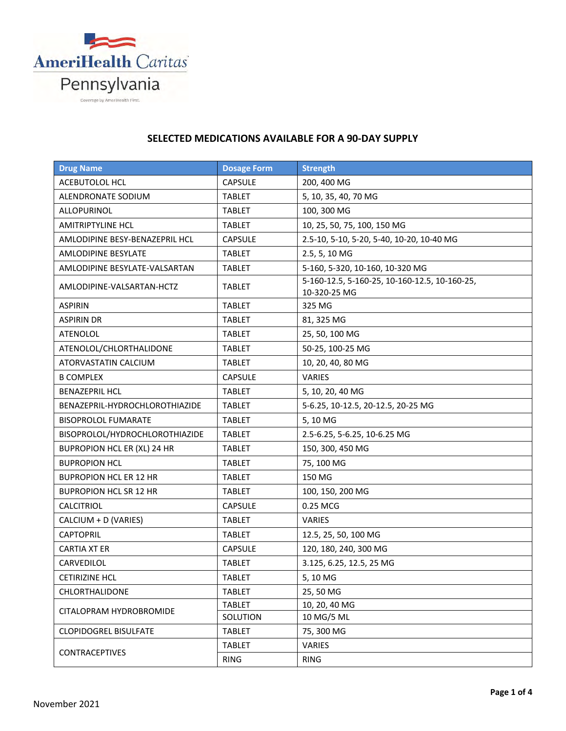

## **SELECTED MEDICATIONS AVAILABLE FOR A 90-DAY SUPPLY**

| <b>Drug Name</b>               | <b>Dosage Form</b> | <b>Strength</b>                                               |
|--------------------------------|--------------------|---------------------------------------------------------------|
| ACEBUTOLOL HCL                 | <b>CAPSULE</b>     | 200, 400 MG                                                   |
| <b>ALENDRONATE SODIUM</b>      | <b>TABLET</b>      | 5, 10, 35, 40, 70 MG                                          |
| ALLOPURINOL                    | <b>TABLET</b>      | 100, 300 MG                                                   |
| <b>AMITRIPTYLINE HCL</b>       | <b>TABLET</b>      | 10, 25, 50, 75, 100, 150 MG                                   |
| AMLODIPINE BESY-BENAZEPRIL HCL | <b>CAPSULE</b>     | 2.5-10, 5-10, 5-20, 5-40, 10-20, 10-40 MG                     |
| <b>AMLODIPINE BESYLATE</b>     | <b>TABLET</b>      | 2.5, 5, 10 MG                                                 |
| AMLODIPINE BESYLATE-VALSARTAN  | <b>TABLET</b>      | 5-160, 5-320, 10-160, 10-320 MG                               |
| AMLODIPINE-VALSARTAN-HCTZ      | <b>TABLET</b>      | 5-160-12.5, 5-160-25, 10-160-12.5, 10-160-25,<br>10-320-25 MG |
| <b>ASPIRIN</b>                 | <b>TABLET</b>      | 325 MG                                                        |
| <b>ASPIRIN DR</b>              | <b>TABLET</b>      | 81, 325 MG                                                    |
| <b>ATENOLOL</b>                | <b>TABLET</b>      | 25, 50, 100 MG                                                |
| ATENOLOL/CHLORTHALIDONE        | <b>TABLET</b>      | 50-25, 100-25 MG                                              |
| ATORVASTATIN CALCIUM           | <b>TABLET</b>      | 10, 20, 40, 80 MG                                             |
| <b>B COMPLEX</b>               | <b>CAPSULE</b>     | <b>VARIES</b>                                                 |
| <b>BENAZEPRIL HCL</b>          | <b>TABLET</b>      | 5, 10, 20, 40 MG                                              |
| BENAZEPRIL-HYDROCHLOROTHIAZIDE | <b>TABLET</b>      | 5-6.25, 10-12.5, 20-12.5, 20-25 MG                            |
| <b>BISOPROLOL FUMARATE</b>     | <b>TABLET</b>      | 5, 10 MG                                                      |
| BISOPROLOL/HYDROCHLOROTHIAZIDE | <b>TABLET</b>      | 2.5-6.25, 5-6.25, 10-6.25 MG                                  |
| BUPROPION HCL ER (XL) 24 HR    | <b>TABLET</b>      | 150, 300, 450 MG                                              |
| <b>BUPROPION HCL</b>           | <b>TABLET</b>      | 75, 100 MG                                                    |
| <b>BUPROPION HCL ER 12 HR</b>  | <b>TABLET</b>      | 150 MG                                                        |
| <b>BUPROPION HCL SR 12 HR</b>  | <b>TABLET</b>      | 100, 150, 200 MG                                              |
| <b>CALCITRIOL</b>              | <b>CAPSULE</b>     | 0.25 MCG                                                      |
| CALCIUM + D (VARIES)           | <b>TABLET</b>      | VARIES                                                        |
| <b>CAPTOPRIL</b>               | <b>TABLET</b>      | 12.5, 25, 50, 100 MG                                          |
| <b>CARTIA XT ER</b>            | <b>CAPSULE</b>     | 120, 180, 240, 300 MG                                         |
| CARVEDILOL                     | <b>TABLET</b>      | 3.125, 6.25, 12.5, 25 MG                                      |
| <b>CETIRIZINE HCL</b>          | <b>TABLET</b>      | 5,10 MG                                                       |
| CHLORTHALIDONE                 | <b>TABLET</b>      | 25, 50 MG                                                     |
| CITALOPRAM HYDROBROMIDE        | <b>TABLET</b>      | 10, 20, 40 MG                                                 |
|                                | SOLUTION           | 10 MG/5 ML                                                    |
| <b>CLOPIDOGREL BISULFATE</b>   | <b>TABLET</b>      | 75, 300 MG                                                    |
| <b>CONTRACEPTIVES</b>          | <b>TABLET</b>      | VARIES                                                        |
|                                | <b>RING</b>        | <b>RING</b>                                                   |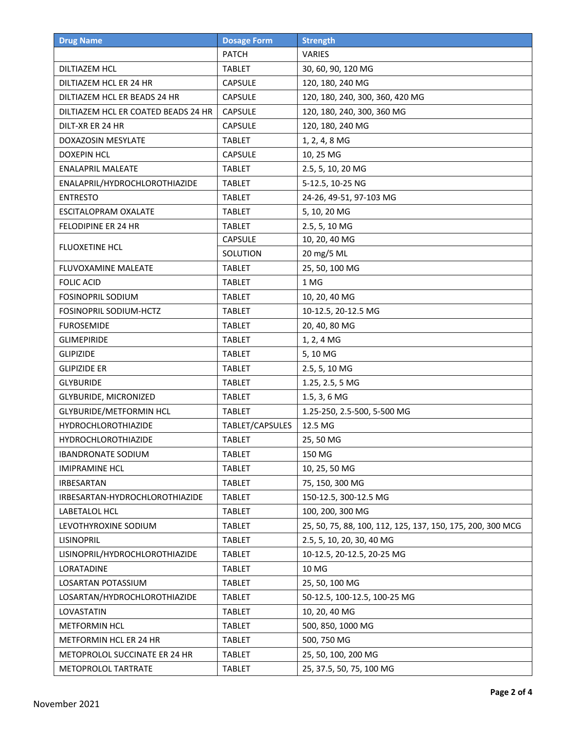| <b>Drug Name</b>                    | <b>Dosage Form</b> | <b>Strength</b>                                            |
|-------------------------------------|--------------------|------------------------------------------------------------|
|                                     | <b>PATCH</b>       | VARIES                                                     |
| <b>DILTIAZEM HCL</b>                | <b>TABLET</b>      | 30, 60, 90, 120 MG                                         |
| DILTIAZEM HCL ER 24 HR              | <b>CAPSULE</b>     | 120, 180, 240 MG                                           |
| DILTIAZEM HCL ER BEADS 24 HR        | CAPSULE            | 120, 180, 240, 300, 360, 420 MG                            |
| DILTIAZEM HCL ER COATED BEADS 24 HR | <b>CAPSULE</b>     | 120, 180, 240, 300, 360 MG                                 |
| DILT-XR ER 24 HR                    | <b>CAPSULE</b>     | 120, 180, 240 MG                                           |
| <b>DOXAZOSIN MESYLATE</b>           | <b>TABLET</b>      | 1, 2, 4, 8 MG                                              |
| <b>DOXEPIN HCL</b>                  | <b>CAPSULE</b>     | 10, 25 MG                                                  |
| <b>ENALAPRIL MALEATE</b>            | <b>TABLET</b>      | 2.5, 5, 10, 20 MG                                          |
| ENALAPRIL/HYDROCHLOROTHIAZIDE       | <b>TABLET</b>      | 5-12.5, 10-25 NG                                           |
| <b>ENTRESTO</b>                     | <b>TABLET</b>      | 24-26, 49-51, 97-103 MG                                    |
| <b>ESCITALOPRAM OXALATE</b>         | <b>TABLET</b>      | 5, 10, 20 MG                                               |
| FELODIPINE ER 24 HR                 | <b>TABLET</b>      | 2.5, 5, 10 MG                                              |
|                                     | CAPSULE            | 10, 20, 40 MG                                              |
| FLUOXETINE HCL                      | SOLUTION           | 20 mg/5 ML                                                 |
| FLUVOXAMINE MALEATE                 | <b>TABLET</b>      | 25, 50, 100 MG                                             |
| <b>FOLIC ACID</b>                   | <b>TABLET</b>      | 1 MG                                                       |
| <b>FOSINOPRIL SODIUM</b>            | <b>TABLET</b>      | 10, 20, 40 MG                                              |
| FOSINOPRIL SODIUM-HCTZ              | <b>TABLET</b>      | 10-12.5, 20-12.5 MG                                        |
| <b>FUROSEMIDE</b>                   | <b>TABLET</b>      | 20, 40, 80 MG                                              |
| <b>GLIMEPIRIDE</b>                  | <b>TABLET</b>      | 1, 2, 4 MG                                                 |
| <b>GLIPIZIDE</b>                    | <b>TABLET</b>      | 5,10 MG                                                    |
| <b>GLIPIZIDE ER</b>                 | <b>TABLET</b>      | 2.5, 5, 10 MG                                              |
| <b>GLYBURIDE</b>                    | <b>TABLET</b>      | 1.25, 2.5, 5 MG                                            |
| <b>GLYBURIDE, MICRONIZED</b>        | <b>TABLET</b>      | 1.5, 3, 6 MG                                               |
| <b>GLYBURIDE/METFORMIN HCL</b>      | <b>TABLET</b>      | 1.25-250, 2.5-500, 5-500 MG                                |
| <b>HYDROCHLOROTHIAZIDE</b>          | TABLET/CAPSULES    | 12.5 MG                                                    |
| <b>HYDROCHLOROTHIAZIDE</b>          | <b>TABLET</b>      | 25, 50 MG                                                  |
| <b>IBANDRONATE SODIUM</b>           | <b>TABLET</b>      | 150 MG                                                     |
| <b>IMIPRAMINE HCL</b>               | <b>TABLET</b>      | 10, 25, 50 MG                                              |
| <b>IRBESARTAN</b>                   | <b>TABLET</b>      | 75, 150, 300 MG                                            |
| IRBESARTAN-HYDROCHLOROTHIAZIDE      | <b>TABLET</b>      | 150-12.5, 300-12.5 MG                                      |
| LABETALOL HCL                       | <b>TABLET</b>      | 100, 200, 300 MG                                           |
| LEVOTHYROXINE SODIUM                | <b>TABLET</b>      | 25, 50, 75, 88, 100, 112, 125, 137, 150, 175, 200, 300 MCG |
| <b>LISINOPRIL</b>                   | <b>TABLET</b>      | 2.5, 5, 10, 20, 30, 40 MG                                  |
| LISINOPRIL/HYDROCHLOROTHIAZIDE      | <b>TABLET</b>      | 10-12.5, 20-12.5, 20-25 MG                                 |
| LORATADINE                          | <b>TABLET</b>      | 10 MG                                                      |
| LOSARTAN POTASSIUM                  | <b>TABLET</b>      | 25, 50, 100 MG                                             |
| LOSARTAN/HYDROCHLOROTHIAZIDE        | <b>TABLET</b>      | 50-12.5, 100-12.5, 100-25 MG                               |
| LOVASTATIN                          | <b>TABLET</b>      | 10, 20, 40 MG                                              |
| METFORMIN HCL                       | <b>TABLET</b>      | 500, 850, 1000 MG                                          |
| METFORMIN HCL ER 24 HR              | <b>TABLET</b>      | 500, 750 MG                                                |
| METOPROLOL SUCCINATE ER 24 HR       | <b>TABLET</b>      | 25, 50, 100, 200 MG                                        |
| METOPROLOL TARTRATE                 | <b>TABLET</b>      | 25, 37.5, 50, 75, 100 MG                                   |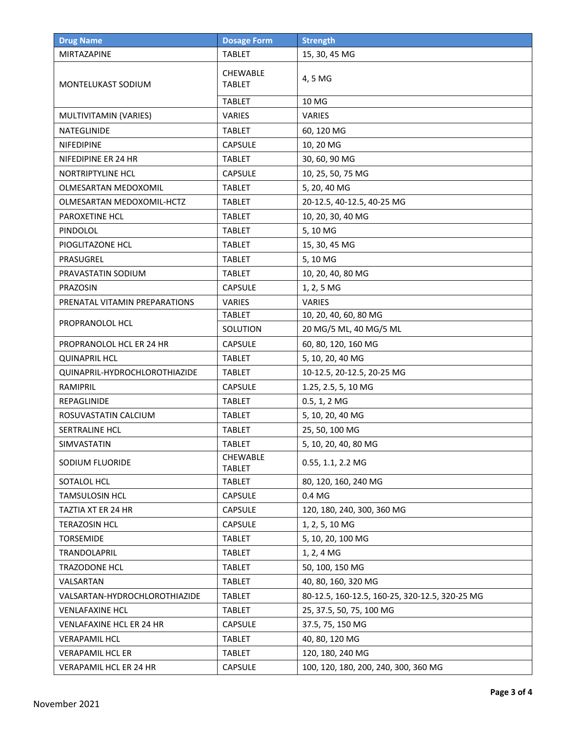| <b>Drug Name</b>                | <b>Dosage Form</b>               | <b>Strength</b>                                |
|---------------------------------|----------------------------------|------------------------------------------------|
| MIRTAZAPINE                     | <b>TABLET</b>                    | 15, 30, 45 MG                                  |
| MONTELUKAST SODIUM              | <b>CHEWABLE</b><br><b>TABLET</b> | 4, 5 MG                                        |
|                                 | <b>TABLET</b>                    | 10 MG                                          |
| MULTIVITAMIN (VARIES)           | <b>VARIES</b>                    | <b>VARIES</b>                                  |
| NATEGLINIDE                     | <b>TABLET</b>                    | 60, 120 MG                                     |
| NIFEDIPINE                      | <b>CAPSULE</b>                   | 10, 20 MG                                      |
| NIFEDIPINE ER 24 HR             | <b>TABLET</b>                    | 30, 60, 90 MG                                  |
| NORTRIPTYLINE HCL               | <b>CAPSULE</b>                   | 10, 25, 50, 75 MG                              |
| OLMESARTAN MEDOXOMIL            | <b>TABLET</b>                    | 5, 20, 40 MG                                   |
| OLMESARTAN MEDOXOMIL-HCTZ       | <b>TABLET</b>                    | 20-12.5, 40-12.5, 40-25 MG                     |
| <b>PAROXETINE HCL</b>           | <b>TABLET</b>                    | 10, 20, 30, 40 MG                              |
| PINDOLOL                        | <b>TABLET</b>                    | 5,10 MG                                        |
| PIOGLITAZONE HCL                | <b>TABLET</b>                    | 15, 30, 45 MG                                  |
| PRASUGREL                       | <b>TABLET</b>                    | 5,10 MG                                        |
| PRAVASTATIN SODIUM              | <b>TABLET</b>                    | 10, 20, 40, 80 MG                              |
| PRAZOSIN                        | <b>CAPSULE</b>                   | 1, 2, 5 MG                                     |
| PRENATAL VITAMIN PREPARATIONS   | VARIES                           | <b>VARIES</b>                                  |
| PROPRANOLOL HCL                 | <b>TABLET</b>                    | 10, 20, 40, 60, 80 MG                          |
|                                 | SOLUTION                         | 20 MG/5 ML, 40 MG/5 ML                         |
| PROPRANOLOL HCL ER 24 HR        | <b>CAPSULE</b>                   | 60, 80, 120, 160 MG                            |
| <b>QUINAPRIL HCL</b>            | <b>TABLET</b>                    | 5, 10, 20, 40 MG                               |
| QUINAPRIL-HYDROCHLOROTHIAZIDE   | <b>TABLET</b>                    | 10-12.5, 20-12.5, 20-25 MG                     |
| RAMIPRIL                        | <b>CAPSULE</b>                   | 1.25, 2.5, 5, 10 MG                            |
| REPAGLINIDE                     | <b>TABLET</b>                    | $0.5, 1, 2$ MG                                 |
| ROSUVASTATIN CALCIUM            | <b>TABLET</b>                    | 5, 10, 20, 40 MG                               |
| SERTRALINE HCL                  | <b>TABLET</b>                    | 25, 50, 100 MG                                 |
| SIMVASTATIN                     | TABLET                           | 5, 10, 20, 40, 80 MG                           |
| SODIUM FLUORIDE                 | CHEWABLE<br><b>TABLET</b>        | 0.55, 1.1, 2.2 MG                              |
| SOTALOL HCL                     | <b>TABLET</b>                    | 80, 120, 160, 240 MG                           |
| <b>TAMSULOSIN HCL</b>           | <b>CAPSULE</b>                   | 0.4 MG                                         |
| TAZTIA XT ER 24 HR              | <b>CAPSULE</b>                   | 120, 180, 240, 300, 360 MG                     |
| <b>TERAZOSIN HCL</b>            | CAPSULE                          | 1, 2, 5, 10 MG                                 |
| <b>TORSEMIDE</b>                | <b>TABLET</b>                    | 5, 10, 20, 100 MG                              |
| TRANDOLAPRIL                    | <b>TABLET</b>                    | 1, 2, 4 MG                                     |
| TRAZODONE HCL                   | <b>TABLET</b>                    | 50, 100, 150 MG                                |
| VALSARTAN                       | <b>TABLET</b>                    | 40, 80, 160, 320 MG                            |
| VALSARTAN-HYDROCHLOROTHIAZIDE   | <b>TABLET</b>                    | 80-12.5, 160-12.5, 160-25, 320-12.5, 320-25 MG |
| <b>VENLAFAXINE HCL</b>          | <b>TABLET</b>                    | 25, 37.5, 50, 75, 100 MG                       |
| <b>VENLAFAXINE HCL ER 24 HR</b> | <b>CAPSULE</b>                   | 37.5, 75, 150 MG                               |
| <b>VERAPAMIL HCL</b>            | <b>TABLET</b>                    | 40, 80, 120 MG                                 |
| <b>VERAPAMIL HCL ER</b>         | <b>TABLET</b>                    | 120, 180, 240 MG                               |
| <b>VERAPAMIL HCL ER 24 HR</b>   | CAPSULE                          | 100, 120, 180, 200, 240, 300, 360 MG           |